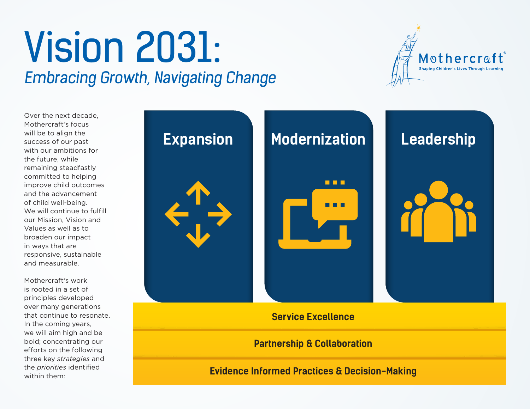# Vision 2031: Embracing Growth, Navigating Change



Over the next decade, Mothercraft's focus will be to align the success of our past with our ambitions for the future, while remaining steadfastly committed to helping improve child outcomes and the advancement of child well-being. We will continue to fulfill our Mission, Vision and Values as well as to broaden our impact in ways that are responsive, sustainable and measurable.

Mothercraft's work is rooted in a set of principles developed over many generations that continue to resonate. In the coming years, we will aim high and be bold; concentrating our efforts on the following three key *strategies* and the *priorities* identified within them:



**Evidence Informed Practices & Decision-Making**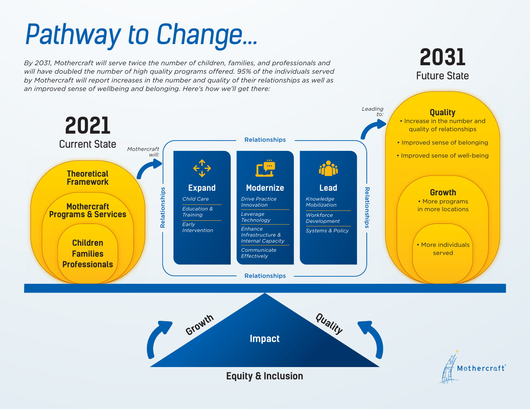# Pathway to Change…

*By 2031, Mothercraft will serve twice the number of children, families, and professionals and will have doubled the number of high quality programs offered. 95% of the individuals served by Mothercraft will report increases in the number and quality of their relationships as well as an improved sense of wellbeing and belonging. Here's how we'll get there:*



**2031**

Future State

**Equity & Inclusion**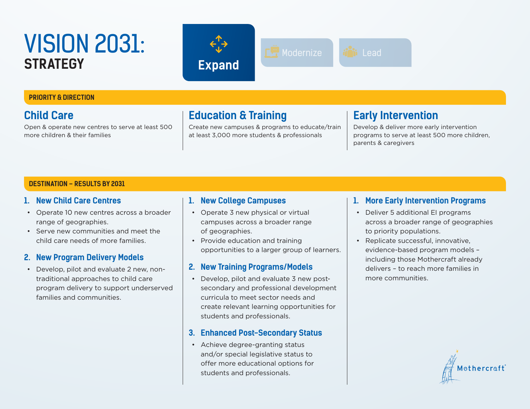## <span id="page-2-0"></span>VISION 2031: **STRATEGY Expand**





#### **PRIORITY & DIRECTION**

## **Child Care**

Open & operate new centres to serve at least 500 more children & their families

**Education & Training** 

Create new campuses & programs to educate/train at least 3,000 more students & professionals

### **Early Intervention**

Develop & deliver more early intervention programs to serve at least 500 more children, parents & caregivers

#### **DESTINATION – RESULTS BY 2031**

- **1. New Child Care Centres**
- Operate 10 new centres across a broader range of geographies.
- Serve new communities and meet the child care needs of more families.

#### **2. New Program Delivery Models**

• Develop, pilot and evaluate 2 new, nontraditional approaches to child care program delivery to support underserved families and communities.

#### **1. New College Campuses**

- Operate 3 new physical or virtual campuses across a broader range of geographies.
- Provide education and training opportunities to a larger group of learners.

#### **2. New Training Programs/Models**

• Develop, pilot and evaluate 3 new postsecondary and professional development curricula to meet sector needs and create relevant learning opportunities for students and professionals.

#### **3. Enhanced Post-Secondary Status**

• Achieve degree-granting status and/or special legislative status to offer more educational options for students and professionals.

#### **1. More Early Intervention Programs**

- Deliver 5 additional EI programs across a broader range of geographies to priority populations.
- Replicate successful, innovative, evidence-based program models – including those Mothercraft already delivers – to reach more families in more communities.

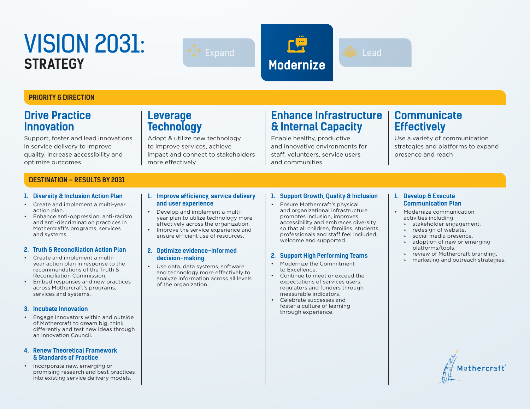## <span id="page-3-0"></span>VISION 2031: **STRATEGY**





#### **PRIORITY & DIRECTION**

### **Drive Practice Innovation**

Support, foster and lead innovations in service delivery to improve quality, increase accessibility and optimize outcomes

#### **DESTINATION – RESULTS BY 2031**

#### **1. Diversity & Inclusion Action Plan**

- Create and implement a multi-year action plan.
- Enhance anti-oppression, anti-racism and anti-discrimination practices in Mothercraft's programs, services and systems.

#### **2. Truth & Reconciliation Action Plan**

- Create and implement a multiyear action plan in response to the recommendations of the Truth & Reconciliation Commission.
- Embed responses and new practices across Mothercraft's programs, services and systems.

#### **3. Incubate Innovation**

• Engage innovators within and outside of Mothercraft to dream big, think differently and test new ideas through an Innovation Council.

#### **4. Renew Theoretical Framework & Standards of Practice**

• Incorporate new, emerging or promising research and best practices into existing service delivery models.

#### **1. Improve efficiency, service delivery and user experience**

Adopt & utilize new technology to improve services, achieve

impact and connect to stakeholders

**Leverage Technology** 

more effectively

- Develop and implement a multiyear plan to utilize technology more effectively across the organization.
- Improve the service experience and ensure efficient use of resources.

#### **2. Optimize evidence-informed decision-making**

• Use data, data systems, software and technology more effectively to analyze information across all levels of the organization.

#### **1. Support Growth, Quality & Inclusion**

**Enhance Infrastructure** 

**& Internal Capacity** Enable healthy, productive and innovative environments for staff, volunteers, service users

and communities

• Ensure Mothercraft's physical and organizational infrastructure promotes inclusion, improves accessibility and embraces diversity so that all children, families, students, professionals and staff feel included, welcome and supported.

#### **2. Support High Performing Teams**

- Modernize the Commitment to Excellence.
- Continue to meet or exceed the expectations of services users, regulators and funders through measurable indicators.
- Celebrate successes and foster a culture of learning through experience.

#### **1. Develop & Execute Communication Plan**

**Communicate** 

**Effectively**

presence and reach

- Modernize communication activities including:
	- » stakeholder engagement,

Use a variety of communication strategies and platforms to expand

- » redesign of website,
- » social media presence, » adoption of new or emerging
- platforms/tools, » review of Mothercraft branding,
- » marketing and outreach strategies.